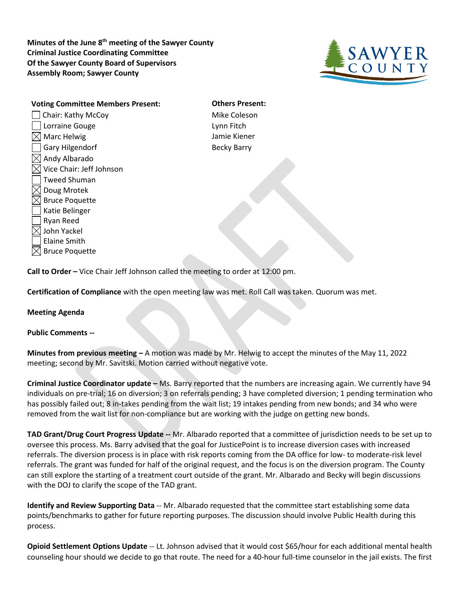**Minutes of the June 8th meeting of the Sawyer County Criminal Justice Coordinating Committee Of the Sawyer County Board of Supervisors Assembly Room; Sawyer County**



**Voting Committee Members Present: Others Present:** □ Chair: Kathy McCoy Mike Coleson Lorraine Gouge Lynn Fitch  $\boxtimes$  Marc Helwig  $\Box$  Jamie Kiener Gary Hilgendorf **Becky Barry** Becky Barry  $\boxtimes$  Andy Albarado  $\boxtimes$  Vice Chair: Jeff Johnson Tweed Shuman  $\boxtimes$  Doug Mrotek  $\boxtimes$  Bruce Poquette Katie Belinger Ryan Reed  $\boxtimes$  John Yackel Elaine Smith  $\boxtimes$  Bruce Poquette

**Call to Order –** Vice Chair Jeff Johnson called the meeting to order at 12:00 pm.

**Certification of Compliance** with the open meeting law was met. Roll Call was taken. Quorum was met.

## **Meeting Agenda**

## **Public Comments --**

**Minutes from previous meeting –** A motion was made by Mr. Helwig to accept the minutes of the May 11, 2022 meeting; second by Mr. Savitski. Motion carried without negative vote.

**Criminal Justice Coordinator update –** Ms. Barry reported that the numbers are increasing again. We currently have 94 individuals on pre-trial; 16 on diversion; 3 on referrals pending; 3 have completed diversion; 1 pending termination who has possibly failed out; 8 in-takes pending from the wait list; 19 intakes pending from new bonds; and 34 who were removed from the wait list for non-compliance but are working with the judge on getting new bonds.

**TAD Grant/Drug Court Progress Update --** Mr. Albarado reported that a committee of jurisdiction needs to be set up to oversee this process. Ms. Barry advised that the goal for JusticePoint is to increase diversion cases with increased referrals. The diversion process is in place with risk reports coming from the DA office for low- to moderate-risk level referrals. The grant was funded for half of the original request, and the focus is on the diversion program. The County can still explore the starting of a treatment court outside of the grant. Mr. Albarado and Becky will begin discussions with the DOJ to clarify the scope of the TAD grant.

**Identify and Review Supporting Data** -- Mr. Albarado requested that the committee start establishing some data points/benchmarks to gather for future reporting purposes. The discussion should involve Public Health during this process.

**Opioid Settlement Options Update** -- Lt. Johnson advised that it would cost \$65/hour for each additional mental health counseling hour should we decide to go that route. The need for a 40-hour full-time counselor in the jail exists. The first